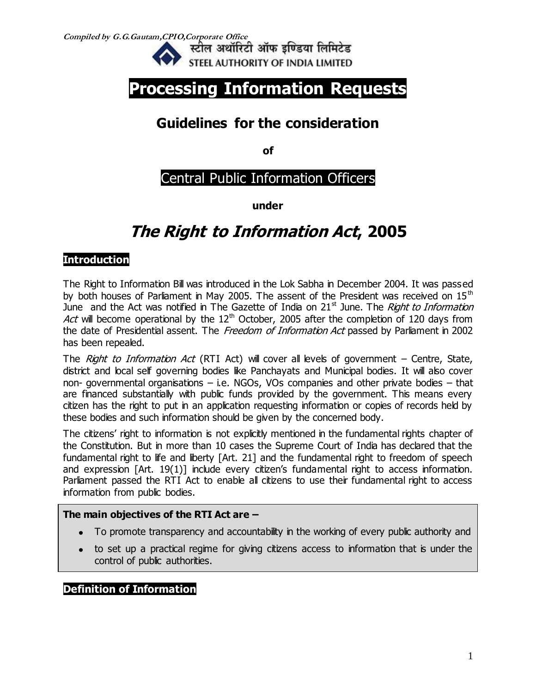**Compiled by G.G.Gautam,CPIO,Corporate Office** 



# **Processing Information Requests**

# **Guidelines for the consideration**

**of**

## Central Public Information Officers

**under**

# **The Right to Information Act, 2005**

## **Introduction**

The Right to Information Bill was introduced in the Lok Sabha in December 2004. It was passed by both houses of Parliament in May 2005. The assent of the President was received on  $15<sup>th</sup>$ June and the Act was notified in The Gazette of India on  $21<sup>st</sup>$  June. The *Right to Information* Act will become operational by the  $12<sup>th</sup>$  October, 2005 after the completion of 120 days from the date of Presidential assent. The Freedom of Information Act passed by Parliament in 2002 has been repealed.

The *Right to Information Act* (RTI Act) will cover all levels of government – Centre, State, district and local self governing bodies like Panchayats and Municipal bodies. It will also cover non- governmental organisations – i.e. NGOs, VOs companies and other private bodies – that are financed substantially with public funds provided by the government. This means every citizen has the right to put in an application requesting information or copies of records held by these bodies and such information should be given by the concerned body.

The citizens' right to information is not explicitly mentioned in the fundamental rights chapter of the Constitution. But in more than 10 cases the Supreme Court of India has declared that the fundamental right to life and liberty [Art. 21] and the fundamental right to freedom of speech and expression [Art. 19(1)] include every citizen's fundamental right to access information. Parliament passed the RTI Act to enable all citizens to use their fundamental right to access information from public bodies.

#### **The main objectives of the RTI Act are –**

- To promote transparency and accountability in the working of every public authority and
- to set up a practical regime for giving citizens access to information that is under the control of public authorities.

## **Definition of Information**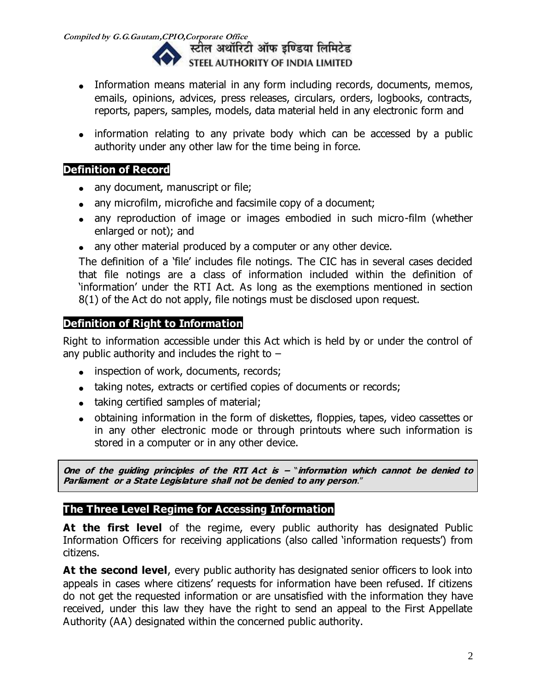**Compiled by G.G.Gautam,CPIO,Corporate Office**  STEEL AUTHORITY OF INDIA LIMITED

- Information means material in any form including records, documents, memos, emails, opinions, advices, press releases, circulars, orders, logbooks, contracts, reports, papers, samples, models, data material held in any electronic form and
- information relating to any private body which can be accessed by a public authority under any other law for the time being in force.

## **Definition of Record**

- any document, manuscript or file;
- any microfilm, microfiche and facsimile copy of a document;
- any reproduction of image or images embodied in such micro-film (whether enlarged or not); and
- any other material produced by a computer or any other device.

The definition of a 'file' includes file notings. The CIC has in several cases decided that file notings are a class of information included within the definition of 'information' under the RTI Act. As long as the exemptions mentioned in section 8(1) of the Act do not apply, file notings must be disclosed upon request.

## **Definition of Right to Information**

Right to information accessible under this Act which is held by or under the control of any public authority and includes the right to  $-$ 

- inspection of work, documents, records;
- taking notes, extracts or certified copies of documents or records;
- taking certified samples of material;
- obtaining information in the form of diskettes, floppies, tapes, video cassettes or in any other electronic mode or through printouts where such information is stored in a computer or in any other device.

**One of the guiding principles of the RTI Act is –** "**information which cannot be denied to Parliament or a State Legislature shall not be denied to any person**."

## **The Three Level Regime for Accessing Information**

At the first level of the regime, every public authority has designated Public Information Officers for receiving applications (also called 'information requests') from citizens.

At the second level, every public authority has designated senior officers to look into appeals in cases where citizens' requests for information have been refused. If citizens do not get the requested information or are unsatisfied with the information they have received, under this law they have the right to send an appeal to the First Appellate Authority (AA) designated within the concerned public authority.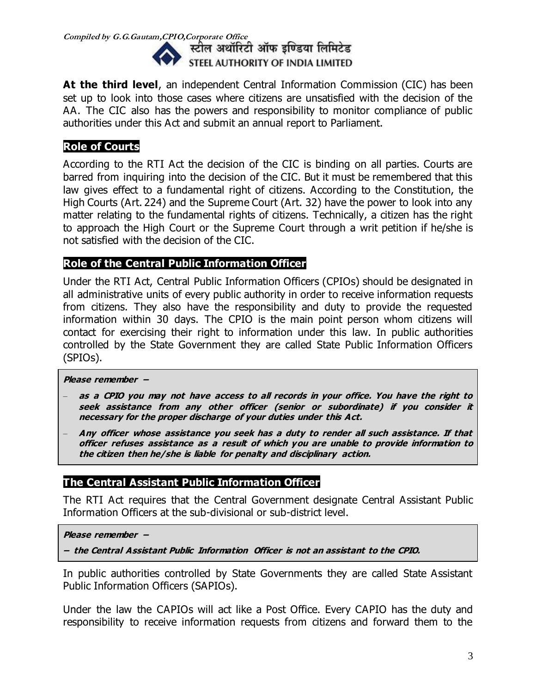

**At the third level**, an independent Central Information Commission (CIC) has been set up to look into those cases where citizens are unsatisfied with the decision of the AA. The CIC also has the powers and responsibility to monitor compliance of public authorities under this Act and submit an annual report to Parliament.

### **Role of Courts**

According to the RTI Act the decision of the CIC is binding on all parties. Courts are barred from inquiring into the decision of the CIC. But it must be remembered that this law gives effect to a fundamental right of citizens. According to the Constitution, the High Courts (Art. 224) and the Supreme Court (Art. 32) have the power to look into any matter relating to the fundamental rights of citizens. Technically, a citizen has the right to approach the High Court or the Supreme Court through a writ petition if he/she is not satisfied with the decision of the CIC.

## **Role of the Central Public Information Officer**

Under the RTI Act, Central Public Information Officers (CPIOs) should be designated in all administrative units of every public authority in order to receive information requests from citizens. They also have the responsibility and duty to provide the requested information within 30 days. The CPIO is the main point person whom citizens will contact for exercising their right to information under this law. In public authorities controlled by the State Government they are called State Public Information Officers (SPIOs).

#### **Please remember –**

- **as a CPIO you may not have access to all records in your office. You have the right to seek assistance from any other officer (senior or subordinate) if you consider it necessary for the proper discharge of your duties under this Act.**
- **Any officer whose assistance you seek has a duty to render all such assistance. If that officer refuses assistance as a result of which you are unable to provide information to the citizen then he/she is liable for penalty and disciplinary action.**

## **The Central Assistant Public Information Officer**

The RTI Act requires that the Central Government designate Central Assistant Public Information Officers at the sub-divisional or sub-district level.

**Please remember –**

**– the Central Assistant Public Information Officer is not an assistant to the CPIO.** 

In public authorities controlled by State Governments they are called State Assistant Public Information Officers (SAPIOs).

Under the law the CAPIOs will act like a Post Office. Every CAPIO has the duty and responsibility to receive information requests from citizens and forward them to the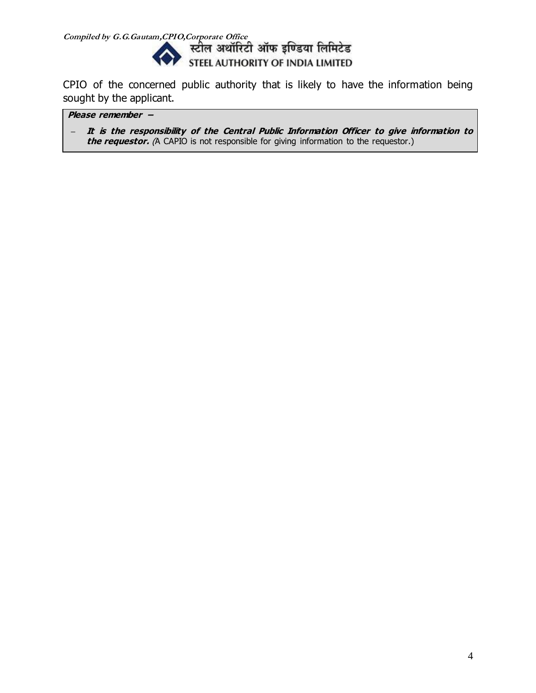

CPIO of the concerned public authority that is likely to have the information being sought by the applicant.

**Please remember –**

**– It is the responsibility of the Central Public Information Officer to give information to the requestor.** (A CAPIO is not responsible for giving information to the requestor.)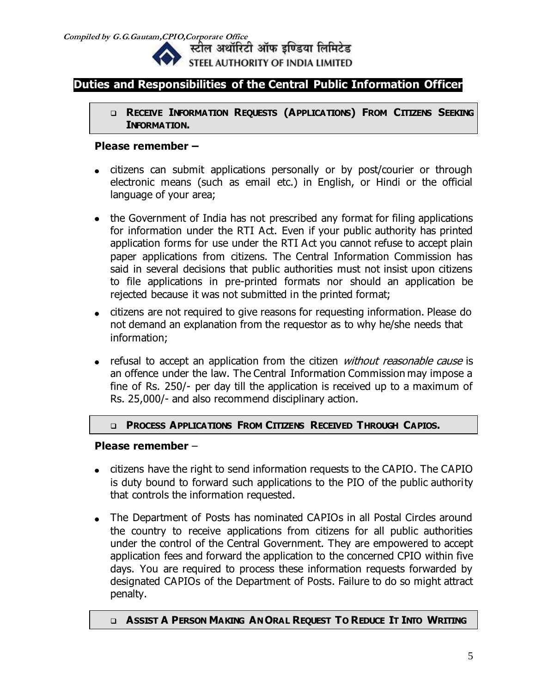

स्टील अथॉरिटी ऑफ इण्डिया लिमिटेड STEEL AUTHORITY OF INDIA LIMITED

## **Duties and Responsibilities of the Central Public Information Officer**

 **RECEIVE INFORMATION REQUESTS (APPLICATIONS) FROM CITIZENS SEEKING INFORMATION.**

#### **Please remember –**

- citizens can submit applications personally or by post/courier or through electronic means (such as email etc.) in English, or Hindi or the official language of your area;
- the Government of India has not prescribed any format for filing applications for information under the RTI Act. Even if your public authority has printed application forms for use under the RTI Act you cannot refuse to accept plain paper applications from citizens. The Central Information Commission has said in several decisions that public authorities must not insist upon citizens to file applications in pre-printed formats nor should an application be rejected because it was not submitted in the printed format;
- citizens are not required to give reasons for requesting information. Please do not demand an explanation from the requestor as to why he/she needs that information;
- refusal to accept an application from the citizen *without reasonable cause* is an offence under the law. The Central Information Commission may impose a fine of Rs. 250/- per day till the application is received up to a maximum of Rs. 25,000/- and also recommend disciplinary action.

#### **PROCESS APPLICATIONS FROM CITIZENS RECEIVED THROUGH CAPIOS.**

#### **Please remember** –

- citizens have the right to send information requests to the CAPIO. The CAPIO is duty bound to forward such applications to the PIO of the public authority that controls the information requested.
- The Department of Posts has nominated CAPIOs in all Postal Circles around the country to receive applications from citizens for all public authorities under the control of the Central Government. They are empowered to accept application fees and forward the application to the concerned CPIO within five days. You are required to process these information requests forwarded by designated CAPIOs of the Department of Posts. Failure to do so might attract penalty.

#### **Q ASSIST A PERSON MAKING AN ORAL REQUEST TO REDUCE IT INTO WRITING**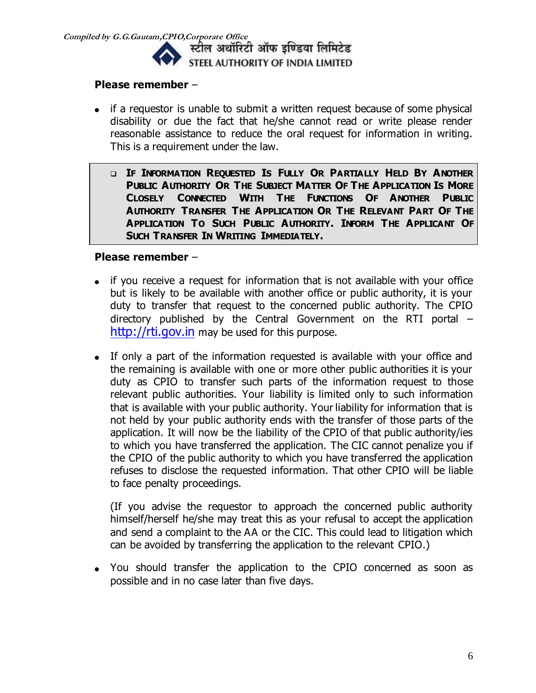

#### **Please remember** –

- if a requestor is unable to submit a written request because of some physical disability or due the fact that he/she cannot read or write please render reasonable assistance to reduce the oral request for information in writing. This is a requirement under the law.
	- **IF INFORMATION REQUESTED IS FULLY OR PARTIALLY HELD BY ANOTHER PUBLIC AUTHORITY OR THE SUBJECT MATTER OF THE APPLICATION IS MORE CLOSELY CONNECTED WITH THE FUNCTIONS OF ANOTHER PUBLIC AUTHORITY TRANSFER THE APPLICATION OR THE RELEVANT PART OF THE APPLICATION TO SUCH PUBLIC AUTHORITY. INFORM THE APPLICANT OF SUCH TRANSFER IN WRITING IMMEDIATELY.**

#### **Please remember** –

- if you receive a request for information that is not available with your office but is likely to be available with another office or public authority, it is your duty to transfer that request to the concerned public authority. The CPIO directory published by the Central Government on the RTI portal – [http://rti.gov.in](http://rti.gov.in/) may be used for this purpose.
- If only a part of the information requested is available with your office and the remaining is available with one or more other public authorities it is your duty as CPIO to transfer such parts of the information request to those relevant public authorities. Your liability is limited only to such information that is available with your public authority. Your liability for information that is not held by your public authority ends with the transfer of those parts of the application. It will now be the liability of the CPIO of that public authority/ies to which you have transferred the application. The CIC cannot penalize you if the CPIO of the public authority to which you have transferred the application refuses to disclose the requested information. That other CPIO will be liable to face penalty proceedings.

(If you advise the requestor to approach the concerned public authority himself/herself he/she may treat this as your refusal to accept the application and send a complaint to the AA or the CIC. This could lead to litigation which can be avoided by transferring the application to the relevant CPIO.)

You should transfer the application to the CPIO concerned as soon as possible and in no case later than five days.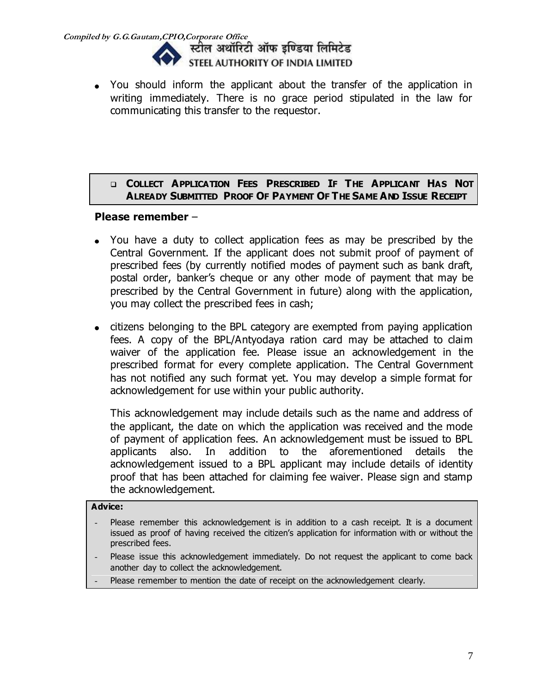

You should inform the applicant about the transfer of the application in writing immediately. There is no grace period stipulated in the law for communicating this transfer to the requestor.

#### **COLLECT APPLICATION FEES PRESCRIBED IF THE APPLICANT HAS NOT ALREADY SUBMITTED PROOF OF PAYMENT OF THE SAME AND ISSUE RECEIPT**

#### **Please remember** –

- You have a duty to collect application fees as may be prescribed by the Central Government. If the applicant does not submit proof of payment of prescribed fees (by currently notified modes of payment such as bank draft, postal order, banker's cheque or any other mode of payment that may be prescribed by the Central Government in future) along with the application, you may collect the prescribed fees in cash;
- citizens belonging to the BPL category are exempted from paying application fees. A copy of the BPL/Antyodaya ration card may be attached to claim waiver of the application fee. Please issue an acknowledgement in the prescribed format for every complete application. The Central Government has not notified any such format yet. You may develop a simple format for acknowledgement for use within your public authority.

This acknowledgement may include details such as the name and address of the applicant, the date on which the application was received and the mode of payment of application fees. An acknowledgement must be issued to BPL applicants also. In addition to the aforementioned details the acknowledgement issued to a BPL applicant may include details of identity proof that has been attached for claiming fee waiver. Please sign and stamp the acknowledgement.

#### **Advice:**

- Please remember this acknowledgement is in addition to a cash receipt. It is a document issued as proof of having received the citizen's application for information with or without the prescribed fees.
- Please issue this acknowledgement immediately. Do not request the applicant to come back another day to collect the acknowledgement.
- Please remember to mention the date of receipt on the acknowledgement clearly.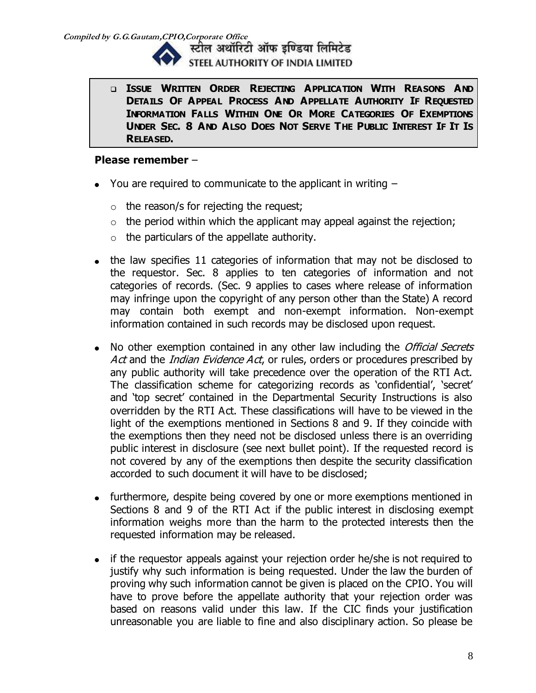

**Compiled by G.G.Gautam,CPIO,Corporate Office**  STEEL AUTHORITY OF INDIA LIMITED

> **ISSUE WRITTEN ORDER REJECTING APPLICATION WITH REASONS AND DETAILS OF APPEAL PROCESS AND APPELLATE AUTHORITY IF REQUESTED INFORMATION FALLS WITHIN ONE OR MORE CATEGORIES OF EXEMPTIONS**  UNDER SEC. 8 AND ALSO DOES NOT SERVE THE PUBLIC INTEREST IF IT IS **RELEASED.**

- $\bullet$  You are required to communicate to the applicant in writing  $-$ 
	- $\circ$  the reason/s for rejecting the request;
	- $\circ$  the period within which the applicant may appeal against the rejection;
	- $\circ$  the particulars of the appellate authority.
- the law specifies 11 categories of information that may not be disclosed to the requestor. Sec. 8 applies to ten categories of information and not categories of records. (Sec. 9 applies to cases where release of information may infringe upon the copyright of any person other than the State) A record may contain both exempt and non-exempt information. Non-exempt information contained in such records may be disclosed upon request.
- No other exemption contained in any other law including the *Official Secrets* Act and the Indian Evidence Act, or rules, orders or procedures prescribed by any public authority will take precedence over the operation of the RTI Act. The classification scheme for categorizing records as 'confidential', 'secret' and 'top secret' contained in the Departmental Security Instructions is also overridden by the RTI Act. These classifications will have to be viewed in the light of the exemptions mentioned in Sections 8 and 9. If they coincide with the exemptions then they need not be disclosed unless there is an overriding public interest in disclosure (see next bullet point). If the requested record is not covered by any of the exemptions then despite the security classification accorded to such document it will have to be disclosed;
- furthermore, despite being covered by one or more exemptions mentioned in Sections 8 and 9 of the RTI Act if the public interest in disclosing exempt information weighs more than the harm to the protected interests then the requested information may be released.
- if the requestor appeals against your rejection order he/she is not required to justify why such information is being requested. Under the law the burden of proving why such information cannot be given is placed on the CPIO. You will have to prove before the appellate authority that your rejection order was based on reasons valid under this law. If the CIC finds your justification unreasonable you are liable to fine and also disciplinary action. So please be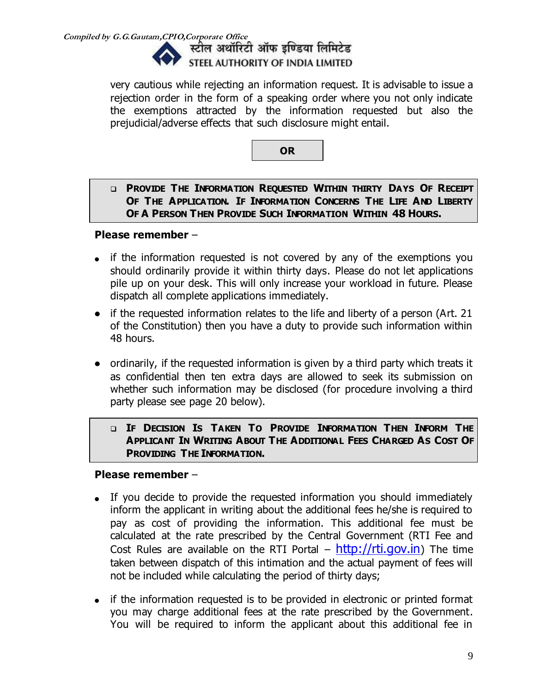

very cautious while rejecting an information request. It is advisable to issue a rejection order in the form of a speaking order where you not only indicate the exemptions attracted by the information requested but also the prejudicial/adverse effects that such disclosure might entail.

**OR**

#### **PROVIDE THE INFORMATION REQUESTED WITHIN THIRTY DAYS OF RECEIPT OF THE APPLICATION. IF INFORMATION CONCERNS THE LIFE AND LIBERTY OF A PERSON THEN PROVIDE SUCH INFORMATION WITHIN 48 HOURS.**

#### **Please remember** –

- if the information requested is not covered by any of the exemptions you should ordinarily provide it within thirty days. Please do not let applications pile up on your desk. This will only increase your workload in future. Please dispatch all complete applications immediately.
- if the requested information relates to the life and liberty of a person (Art. 21 of the Constitution) then you have a duty to provide such information within 48 hours.
- ordinarily, if the requested information is given by a third party which treats it as confidential then ten extra days are allowed to seek its submission on whether such information may be disclosed (for procedure involving a third party please see page 20 below).

#### **IF DECISION IS TAKEN TO PROVIDE INFORMATION THEN INFORM THE APPLICANT IN WRITING ABOUT THE ADDITIONAL FEES CHARGED AS COST OF PROVIDING THE INFORMATION.**

- If you decide to provide the requested information you should immediately inform the applicant in writing about the additional fees he/she is required to pay as cost of providing the information. This additional fee must be calculated at the rate prescribed by the Central Government (RTI Fee and Cost Rules are available on the RTI Portal –  $http://rti.gov.in)$  $http://rti.gov.in)$  The time taken between dispatch of this intimation and the actual payment of fees will not be included while calculating the period of thirty days;
- if the information requested is to be provided in electronic or printed format you may charge additional fees at the rate prescribed by the Government. You will be required to inform the applicant about this additional fee in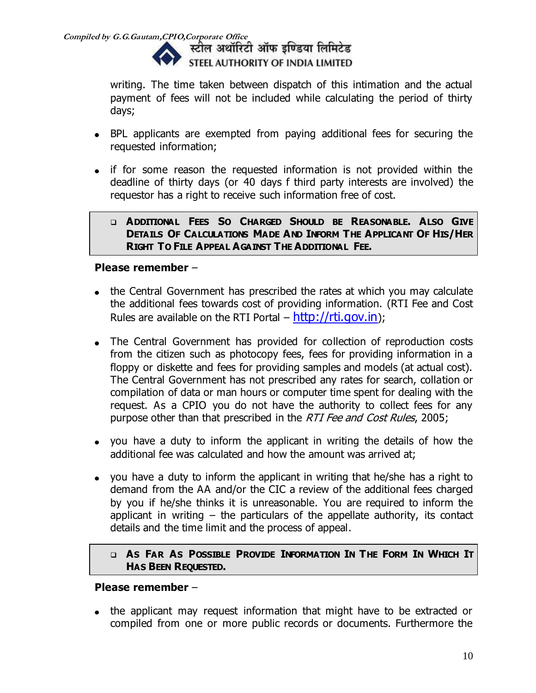

writing. The time taken between dispatch of this intimation and the actual payment of fees will not be included while calculating the period of thirty days;

- BPL applicants are exempted from paying additional fees for securing the requested information;
- if for some reason the requested information is not provided within the deadline of thirty days (or 40 days f third party interests are involved) the requestor has a right to receive such information free of cost.

#### **ADDITIONAL FEES SO CHARGED SHOULD BE REASONABLE. ALSO GIVE DETAILS OF CALCULATIONS MADE AND INFORM THE APPLICANT OF HIS/HER RIGHT TO FILE APPEAL AGAINST THE ADDITIONAL FEE.**

### **Please remember** –

- the Central Government has prescribed the rates at which you may calculate the additional fees towards cost of providing information. (RTI Fee and Cost Rules are available on the RTI Portal  $-$  [http://rti.gov.in](http://rti.gov.in/));
- The Central Government has provided for collection of reproduction costs from the citizen such as photocopy fees, fees for providing information in a floppy or diskette and fees for providing samples and models (at actual cost). The Central Government has not prescribed any rates for search, collation or compilation of data or man hours or computer time spent for dealing with the request. As a CPIO you do not have the authority to collect fees for any purpose other than that prescribed in the RTI Fee and Cost Rules, 2005;
- you have a duty to inform the applicant in writing the details of how the additional fee was calculated and how the amount was arrived at;
- you have a duty to inform the applicant in writing that he/she has a right to demand from the AA and/or the CIC a review of the additional fees charged by you if he/she thinks it is unreasonable. You are required to inform the applicant in writing  $-$  the particulars of the appellate authority, its contact details and the time limit and the process of appeal.

#### **Q AS FAR AS POSSIBLE PROVIDE INFORMATION IN THE FORM IN WHICH IT HAS BEEN REQUESTED.**

#### **Please remember** –

the applicant may request information that might have to be extracted or compiled from one or more public records or documents. Furthermore the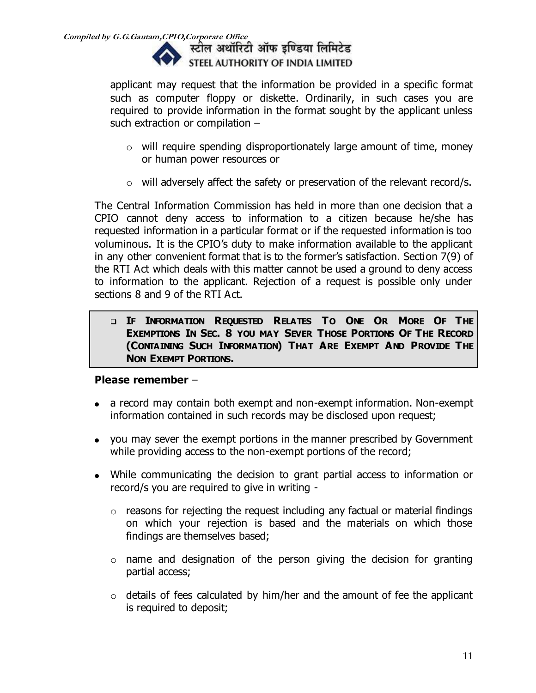

applicant may request that the information be provided in a specific format such as computer floppy or diskette. Ordinarily, in such cases you are required to provide information in the format sought by the applicant unless such extraction or compilation –

- o will require spending disproportionately large amount of time, money or human power resources or
- o will adversely affect the safety or preservation of the relevant record/s.

The Central Information Commission has held in more than one decision that a CPIO cannot deny access to information to a citizen because he/she has requested information in a particular format or if the requested information is too voluminous. It is the CPIO's duty to make information available to the applicant in any other convenient format that is to the former's satisfaction. Section 7(9) of the RTI Act which deals with this matter cannot be used a ground to deny access to information to the applicant. Rejection of a request is possible only under sections 8 and 9 of the RTI Act.

 **IF INFORMATION REQUESTED RELATES TO ONE OR MORE OF THE EXEMPTIONS IN SEC. 8 YOU MAY SEVER THOSE PORTIONS OF THE RECORD (CONTAINING SUCH INFORMATION) THAT ARE EXEMPT AND PROVIDE THE NON EXEMPT PORTIONS.**

- a record may contain both exempt and non-exempt information. Non-exempt information contained in such records may be disclosed upon request;
- you may sever the exempt portions in the manner prescribed by Government while providing access to the non-exempt portions of the record;
- While communicating the decision to grant partial access to information or record/s you are required to give in writing -
	- $\circ$  reasons for rejecting the request including any factual or material findings on which your rejection is based and the materials on which those findings are themselves based;
	- $\circ$  name and designation of the person giving the decision for granting partial access;
	- $\circ$  details of fees calculated by him/her and the amount of fee the applicant is required to deposit;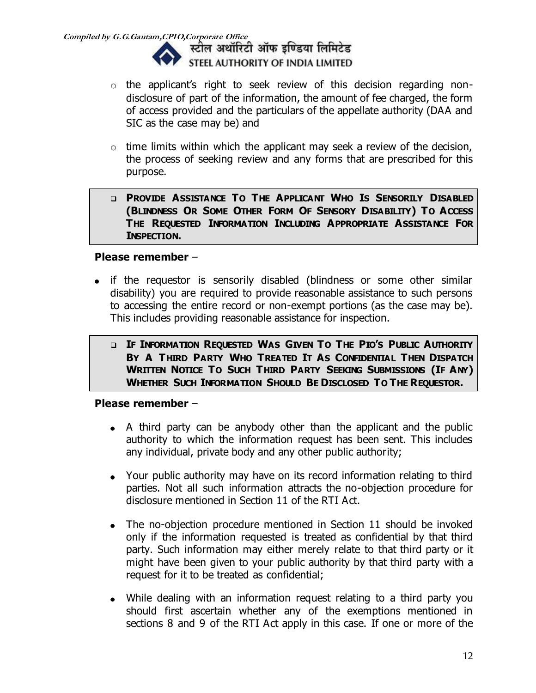

- $\circ$  the applicant's right to seek review of this decision regarding nondisclosure of part of the information, the amount of fee charged, the form of access provided and the particulars of the appellate authority (DAA and SIC as the case may be) and
- $\circ$  time limits within which the applicant may seek a review of the decision, the process of seeking review and any forms that are prescribed for this purpose.
- **PROVIDE ASSISTANCE TO THE APPLICANT WHO IS SENSORILY DISABLED (BLINDNESS OR SOME OTHER FORM OF SENSORY DISABILITY) TO ACCESS THE REQUESTED INFORMATION INCLUDING APPROPRIATE ASSISTANCE FOR INSPECTION.**

#### **Please remember** –

- if the requestor is sensorily disabled (blindness or some other similar disability) you are required to provide reasonable assistance to such persons to accessing the entire record or non-exempt portions (as the case may be). This includes providing reasonable assistance for inspection.
	- **IF INFORMATION REQUESTED WAS GIVEN TO THE PIO'S PUBLIC AUTHORITY BY A THIRD PARTY WHO TREATED IT AS CONFIDENTIAL THEN DISPATCH WRITTEN NOTICE TO SUCH THIRD PARTY SEEKING SUBMISSIONS (IF ANY) WHETHER SUCH INFORMATION SHOULD BE DISCLOSED TO THE REQUESTOR.**

- A third party can be anybody other than the applicant and the public authority to which the information request has been sent. This includes any individual, private body and any other public authority;
- Your public authority may have on its record information relating to third parties. Not all such information attracts the no-objection procedure for disclosure mentioned in Section 11 of the RTI Act.
- The no-objection procedure mentioned in Section 11 should be invoked only if the information requested is treated as confidential by that third party. Such information may either merely relate to that third party or it might have been given to your public authority by that third party with a request for it to be treated as confidential;
- While dealing with an information request relating to a third party you should first ascertain whether any of the exemptions mentioned in sections 8 and 9 of the RTI Act apply in this case. If one or more of the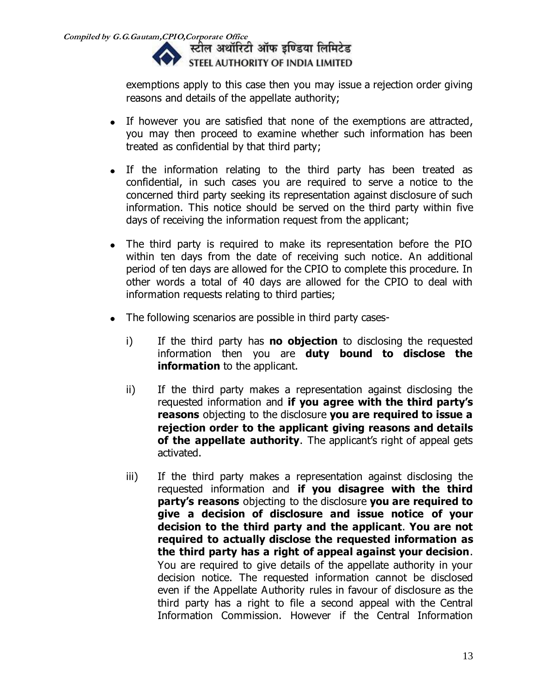

exemptions apply to this case then you may issue a rejection order giving reasons and details of the appellate authority;

- If however you are satisfied that none of the exemptions are attracted, you may then proceed to examine whether such information has been treated as confidential by that third party;
- If the information relating to the third party has been treated as confidential, in such cases you are required to serve a notice to the concerned third party seeking its representation against disclosure of such information. This notice should be served on the third party within five days of receiving the information request from the applicant;
- The third party is required to make its representation before the PIO within ten days from the date of receiving such notice. An additional period of ten days are allowed for the CPIO to complete this procedure. In other words a total of 40 days are allowed for the CPIO to deal with information requests relating to third parties;
- The following scenarios are possible in third party cases- $\bullet$ 
	- i) If the third party has **no objection** to disclosing the requested information then you are **duty bound to disclose the information** to the applicant.
	- ii) If the third party makes a representation against disclosing the requested information and **if you agree with the third party's reasons** objecting to the disclosure **you are required to issue a rejection order to the applicant giving reasons and details of the appellate authority**. The applicant's right of appeal gets activated.
	- iii) If the third party makes a representation against disclosing the requested information and **if you disagree with the third party's reasons** objecting to the disclosure **you are required to give a decision of disclosure and issue notice of your decision to the third party and the applicant**. **You are not required to actually disclose the requested information as the third party has a right of appeal against your decision**. You are required to give details of the appellate authority in your decision notice. The requested information cannot be disclosed even if the Appellate Authority rules in favour of disclosure as the third party has a right to file a second appeal with the Central Information Commission. However if the Central Information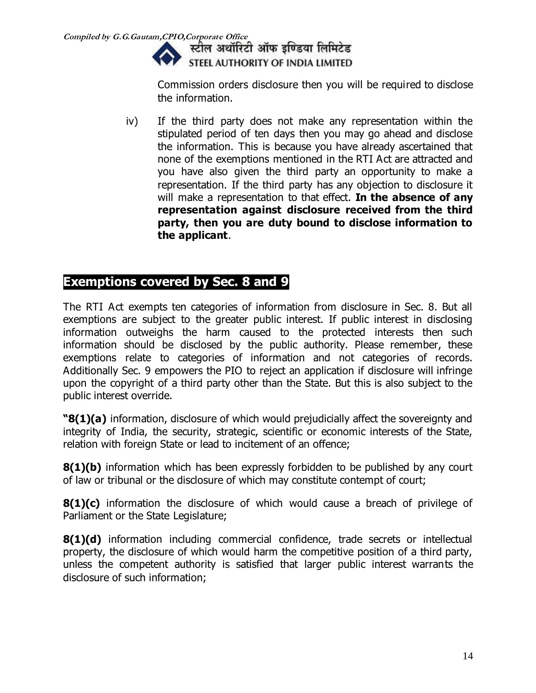

Commission orders disclosure then you will be required to disclose the information.

iv) If the third party does not make any representation within the stipulated period of ten days then you may go ahead and disclose the information. This is because you have already ascertained that none of the exemptions mentioned in the RTI Act are attracted and you have also given the third party an opportunity to make a representation. If the third party has any objection to disclosure it will make a representation to that effect. **In the absence of any representation against disclosure received from the third party, then you are duty bound to disclose information to the applicant**.

## **Exemptions covered by Sec. 8 and 9**

The RTI Act exempts ten categories of information from disclosure in Sec. 8. But all exemptions are subject to the greater public interest. If public interest in disclosing information outweighs the harm caused to the protected interests then such information should be disclosed by the public authority. Please remember, these exemptions relate to categories of information and not categories of records. Additionally Sec. 9 empowers the PIO to reject an application if disclosure will infringe upon the copyright of a third party other than the State. But this is also subject to the public interest override.

**"8(1)(a)** information, disclosure of which would prejudicially affect the sovereignty and integrity of India, the security, strategic, scientific or economic interests of the State, relation with foreign State or lead to incitement of an offence;

**8(1)(b)** information which has been expressly forbidden to be published by any court of law or tribunal or the disclosure of which may constitute contempt of court;

**8(1)(c)** information the disclosure of which would cause a breach of privilege of Parliament or the State Legislature;

**8(1)(d)** information including commercial confidence, trade secrets or intellectual property, the disclosure of which would harm the competitive position of a third party, unless the competent authority is satisfied that larger public interest warrants the disclosure of such information;